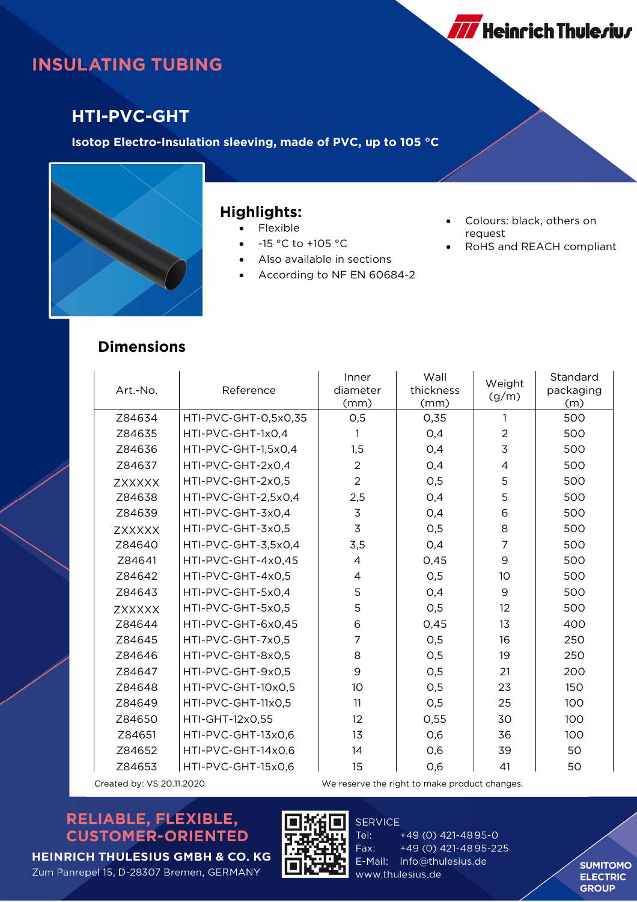

# **INSULATING TUBING**

### **HTI-PVC-GHT**

**Isotop Electro-Insulation sleeving, made of PVC, up to 105 °C**



#### **Highlights:**

- Flexible
- -15 °C to +105 °C
- Also available in sections
- According to NF EN 60684-2
- Colours: black, others on request
- RoHS and REACH compliant

#### **Dimensions**

| Art.-No.                  | Reference            | Inner<br>diameter<br>(mm)                     | Wall<br>thickness<br>(mm) | Weight<br>(g/m) | Standard<br>packaging<br>(m) |  |
|---------------------------|----------------------|-----------------------------------------------|---------------------------|-----------------|------------------------------|--|
| Z84634                    | HTI-PVC-GHT-0,5x0,35 | 0,5                                           | 0,35                      | 1               | 500                          |  |
| Z84635                    | HTI-PVC-GHT-1x0,4    | 1                                             | 0,4                       | $\overline{a}$  | 500                          |  |
| Z84636                    | HTI-PVC-GHT-1,5x0,4  | 1,5                                           | 0,4                       | 3               | 500                          |  |
| Z84637                    | HTI-PVC-GHT-2x0,4    | $\overline{2}$                                | 0,4                       | $\overline{4}$  | 500                          |  |
| <b>ZXXXXX</b>             | HTI-PVC-GHT-2x0.5    | $\overline{2}$                                | 0,5                       | 5               | 500                          |  |
| Z84638                    | HTI-PVC-GHT-2,5x0,4  | 2,5                                           | 0,4                       | 5               | 500                          |  |
| Z84639                    | HTI-PVC-GHT-3x0,4    | $\overline{3}$                                | 0,4                       | 6               | 500                          |  |
| <b>ZXXXXX</b>             | HTI-PVC-GHT-3x0,5    | 3                                             | O, 5                      | 8               | 500                          |  |
| Z84640                    | HTI-PVC-GHT-3,5x0,4  | 3,5                                           | 0,4                       | $\overline{7}$  | 500                          |  |
| Z84641                    | HTI-PVC-GHT-4x0,45   | 4                                             | 0,45                      | 9               | 500                          |  |
| Z84642                    | HTI-PVC-GHT-4x0,5    | 4                                             | 0,5                       | 10              | 500                          |  |
| Z84643                    | HTI-PVC-GHT-5x0,4    | 5                                             | 0,4                       | 9               | 500                          |  |
| <b>ZXXXXX</b>             | HTI-PVC-GHT-5x0,5    | 5                                             | 0,5                       | 12              | 500                          |  |
| Z84644                    | HTI-PVC-GHT-6x0,45   | 6                                             | 0,45                      | 13              | 400                          |  |
| Z84645                    | HTI-PVC-GHT-7x0,5    | $\overline{7}$                                | O, 5                      | 16              | 250                          |  |
| Z84646                    | HTI-PVC-GHT-8x0,5    | 8                                             | 0,5                       | 19              | 250                          |  |
| Z84647                    | HTI-PVC-GHT-9x0,5    | 9                                             | O, 5                      | 21              | 200                          |  |
| Z84648                    | HTI-PVC-GHT-10x0,5   | 10                                            | 0,5                       | 23              | 150                          |  |
| Z84649                    | HTI-PVC-GHT-11x0,5   | 11                                            | 0,5                       | 25              | 100                          |  |
| Z84650                    | HTI-GHT-12x0,55      | 12                                            | 0,55                      | 30              | 100                          |  |
| Z84651                    | HTI-PVC-GHT-13x0,6   | 13                                            | 0,6                       | 36              | 100                          |  |
| Z84652                    | HTI-PVC-GHT-14x0,6   | 14                                            | 0,6                       | 39              | 50                           |  |
| Z84653                    | HTI-PVC-GHT-15x0,6   | 15                                            | 0,6                       | 41              | 50                           |  |
| Created by: VS 20.11.2020 |                      | We reserve the right to make product changes. |                           |                 |                              |  |

#### RELIABLE, FLEXIBLE, **CUSTOMER-ORIENTED**





Tel: +49 (0) 421-4895-0 +49 (0) 421-4895-225 Fax: E-Mail: info@thulesius.de www.thulesius.de

**SERVICE** 

**SUMITOMO ELECTRIC GROUP**